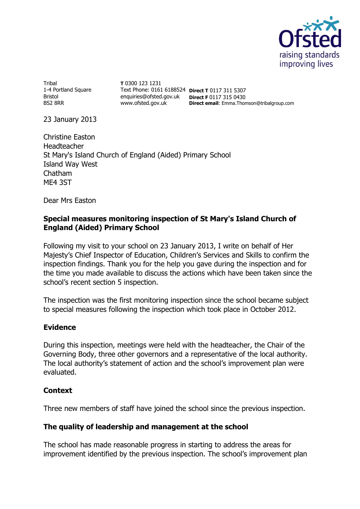

Tribal 1-4 Portland Square Bristol BS2 8RR

**T** 0300 123 1231 Text Phone: 0161 6188524 **Direct T** 0117 311 5307 enquiries@ofsted.gov.uk **Direct F** 0117 315 0430 www.ofsted.gov.uk **Direct email**: Emma.Thomson@tribalgroup.com

23 January 2013

Christine Easton Headteacher St Mary's Island Church of England (Aided) Primary School Island Way West Chatham ME4 3ST

Dear Mrs Easton

## **Special measures monitoring inspection of St Mary's Island Church of England (Aided) Primary School**

Following my visit to your school on 23 January 2013, I write on behalf of Her Majesty's Chief Inspector of Education, Children's Services and Skills to confirm the inspection findings. Thank you for the help you gave during the inspection and for the time you made available to discuss the actions which have been taken since the school's recent section 5 inspection.

The inspection was the first monitoring inspection since the school became subject to special measures following the inspection which took place in October 2012.

## **Evidence**

During this inspection, meetings were held with the headteacher, the Chair of the Governing Body, three other governors and a representative of the local authority. The local authority's statement of action and the school's improvement plan were evaluated.

## **Context**

Three new members of staff have joined the school since the previous inspection.

## **The quality of leadership and management at the school**

The school has made reasonable progress in starting to address the areas for improvement identified by the previous inspection. The school's improvement plan